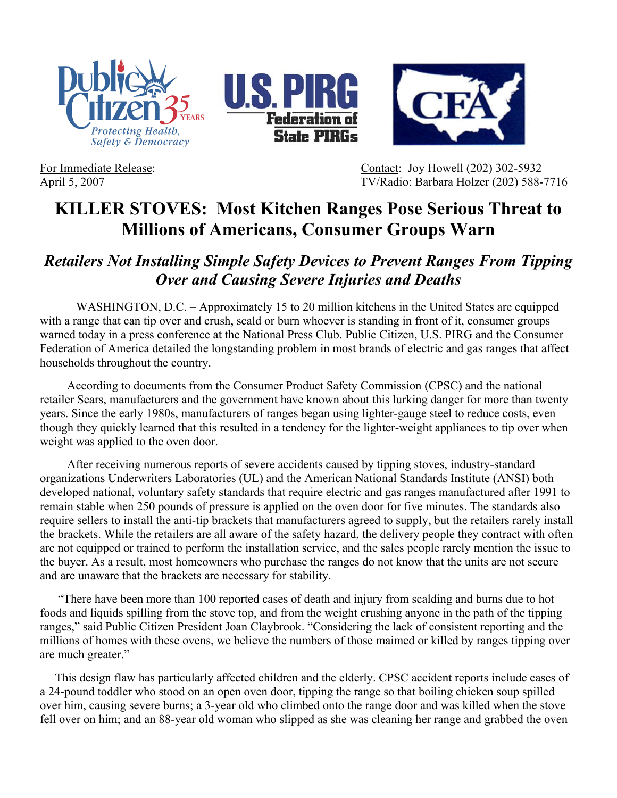





For Immediate Release: Contact: Joy Howell (202) 302-5932 April 5, 2007 TV/Radio: Barbara Holzer (202) 588-7716

## **KILLER STOVES: Most Kitchen Ranges Pose Serious Threat to Millions of Americans, Consumer Groups Warn**

## *Retailers Not Installing Simple Safety Devices to Prevent Ranges From Tipping Over and Causing Severe Injuries and Deaths*

WASHINGTON, D.C. – Approximately 15 to 20 million kitchens in the United States are equipped with a range that can tip over and crush, scald or burn whoever is standing in front of it, consumer groups warned today in a press conference at the National Press Club. Public Citizen, U.S. PIRG and the Consumer Federation of America detailed the longstanding problem in most brands of electric and gas ranges that affect households throughout the country.

According to documents from the Consumer Product Safety Commission (CPSC) and the national retailer Sears, manufacturers and the government have known about this lurking danger for more than twenty years. Since the early 1980s, manufacturers of ranges began using lighter-gauge steel to reduce costs, even though they quickly learned that this resulted in a tendency for the lighter-weight appliances to tip over when weight was applied to the oven door.

 After receiving numerous reports of severe accidents caused by tipping stoves, industry-standard organizations Underwriters Laboratories (UL) and the American National Standards Institute (ANSI) both developed national, voluntary safety standards that require electric and gas ranges manufactured after 1991 to remain stable when 250 pounds of pressure is applied on the oven door for five minutes. The standards also require sellers to install the anti-tip brackets that manufacturers agreed to supply, but the retailers rarely install the brackets. While the retailers are all aware of the safety hazard, the delivery people they contract with often are not equipped or trained to perform the installation service, and the sales people rarely mention the issue to the buyer. As a result, most homeowners who purchase the ranges do not know that the units are not secure and are unaware that the brackets are necessary for stability.

 "There have been more than 100 reported cases of death and injury from scalding and burns due to hot foods and liquids spilling from the stove top, and from the weight crushing anyone in the path of the tipping ranges," said Public Citizen President Joan Claybrook. "Considering the lack of consistent reporting and the millions of homes with these ovens, we believe the numbers of those maimed or killed by ranges tipping over are much greater."

 This design flaw has particularly affected children and the elderly. CPSC accident reports include cases of a 24-pound toddler who stood on an open oven door, tipping the range so that boiling chicken soup spilled over him, causing severe burns; a 3-year old who climbed onto the range door and was killed when the stove fell over on him; and an 88-year old woman who slipped as she was cleaning her range and grabbed the oven